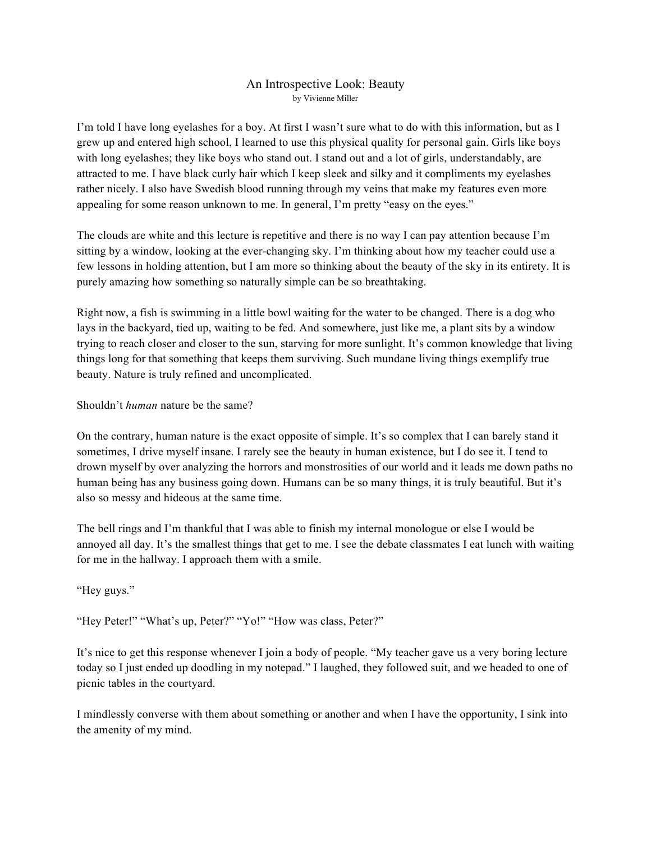## An Introspective Look: Beauty by Vivienne Miller

I'm told I have long eyelashes for a boy. At first I wasn't sure what to do with this information, but as I grew up and entered high school, I learned to use this physical quality for personal gain. Girls like boys with long eyelashes; they like boys who stand out. I stand out and a lot of girls, understandably, are attracted to me. I have black curly hair which I keep sleek and silky and it compliments my eyelashes rather nicely. I also have Swedish blood running through my veins that make my features even more appealing for some reason unknown to me. In general, I'm pretty "easy on the eyes."

The clouds are white and this lecture is repetitive and there is no way I can pay attention because I'm sitting by a window, looking at the ever-changing sky. I'm thinking about how my teacher could use a few lessons in holding attention, but I am more so thinking about the beauty of the sky in its entirety. It is purely amazing how something so naturally simple can be so breathtaking.

Right now, a fish is swimming in a little bowl waiting for the water to be changed. There is a dog who lays in the backyard, tied up, waiting to be fed. And somewhere, just like me, a plant sits by a window trying to reach closer and closer to the sun, starving for more sunlight. It's common knowledge that living things long for that something that keeps them surviving. Such mundane living things exemplify true beauty. Nature is truly refined and uncomplicated.

Shouldn't *human* nature be the same?

On the contrary, human nature is the exact opposite of simple. It's so complex that I can barely stand it sometimes, I drive myself insane. I rarely see the beauty in human existence, but I do see it. I tend to drown myself by over analyzing the horrors and monstrosities of our world and it leads me down paths no human being has any business going down. Humans can be so many things, it is truly beautiful. But it's also so messy and hideous at the same time.

The bell rings and I'm thankful that I was able to finish my internal monologue or else I would be annoyed all day. It's the smallest things that get to me. I see the debate classmates I eat lunch with waiting for me in the hallway. I approach them with a smile.

"Hey guys."

"Hey Peter!" "What's up, Peter?" "Yo!" "How was class, Peter?"

It's nice to get this response whenever I join a body of people. "My teacher gave us a very boring lecture today so I just ended up doodling in my notepad." I laughed, they followed suit, and we headed to one of picnic tables in the courtyard.

I mindlessly converse with them about something or another and when I have the opportunity, I sink into the amenity of my mind.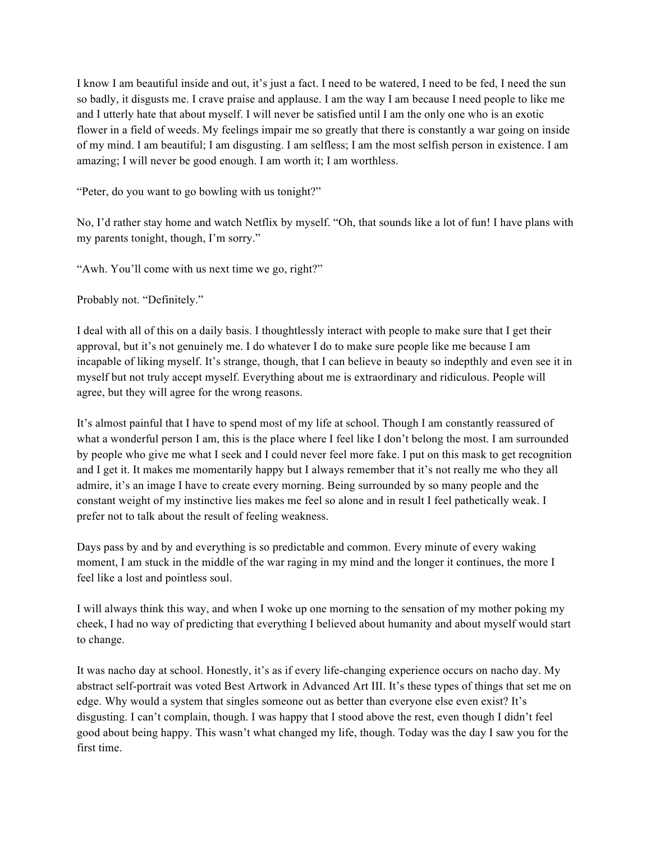I know I am beautiful inside and out, it's just a fact. I need to be watered, I need to be fed, I need the sun so badly, it disgusts me. I crave praise and applause. I am the way I am because I need people to like me and I utterly hate that about myself. I will never be satisfied until I am the only one who is an exotic flower in a field of weeds. My feelings impair me so greatly that there is constantly a war going on inside of my mind. I am beautiful; I am disgusting. I am selfless; I am the most selfish person in existence. I am amazing; I will never be good enough. I am worth it; I am worthless.

"Peter, do you want to go bowling with us tonight?"

No, I'd rather stay home and watch Netflix by myself. "Oh, that sounds like a lot of fun! I have plans with my parents tonight, though, I'm sorry."

"Awh. You'll come with us next time we go, right?"

Probably not. "Definitely."

I deal with all of this on a daily basis. I thoughtlessly interact with people to make sure that I get their approval, but it's not genuinely me. I do whatever I do to make sure people like me because I am incapable of liking myself. It's strange, though, that I can believe in beauty so indepthly and even see it in myself but not truly accept myself. Everything about me is extraordinary and ridiculous. People will agree, but they will agree for the wrong reasons.

It's almost painful that I have to spend most of my life at school. Though I am constantly reassured of what a wonderful person I am, this is the place where I feel like I don't belong the most. I am surrounded by people who give me what I seek and I could never feel more fake. I put on this mask to get recognition and I get it. It makes me momentarily happy but I always remember that it's not really me who they all admire, it's an image I have to create every morning. Being surrounded by so many people and the constant weight of my instinctive lies makes me feel so alone and in result I feel pathetically weak. I prefer not to talk about the result of feeling weakness.

Days pass by and by and everything is so predictable and common. Every minute of every waking moment, I am stuck in the middle of the war raging in my mind and the longer it continues, the more I feel like a lost and pointless soul.

I will always think this way, and when I woke up one morning to the sensation of my mother poking my cheek, I had no way of predicting that everything I believed about humanity and about myself would start to change.

It was nacho day at school. Honestly, it's as if every life-changing experience occurs on nacho day. My abstract self-portrait was voted Best Artwork in Advanced Art III. It's these types of things that set me on edge. Why would a system that singles someone out as better than everyone else even exist? It's disgusting. I can't complain, though. I was happy that I stood above the rest, even though I didn't feel good about being happy. This wasn't what changed my life, though. Today was the day I saw you for the first time.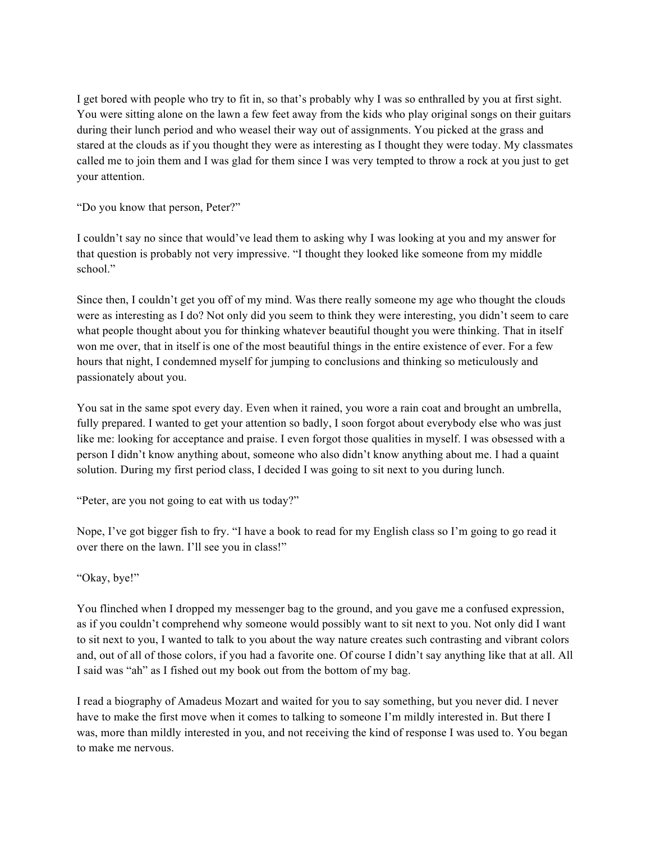I get bored with people who try to fit in, so that's probably why I was so enthralled by you at first sight. You were sitting alone on the lawn a few feet away from the kids who play original songs on their guitars during their lunch period and who weasel their way out of assignments. You picked at the grass and stared at the clouds as if you thought they were as interesting as I thought they were today. My classmates called me to join them and I was glad for them since I was very tempted to throw a rock at you just to get your attention.

"Do you know that person, Peter?"

I couldn't say no since that would've lead them to asking why I was looking at you and my answer for that question is probably not very impressive. "I thought they looked like someone from my middle school."

Since then, I couldn't get you off of my mind. Was there really someone my age who thought the clouds were as interesting as I do? Not only did you seem to think they were interesting, you didn't seem to care what people thought about you for thinking whatever beautiful thought you were thinking. That in itself won me over, that in itself is one of the most beautiful things in the entire existence of ever. For a few hours that night, I condemned myself for jumping to conclusions and thinking so meticulously and passionately about you.

You sat in the same spot every day. Even when it rained, you wore a rain coat and brought an umbrella, fully prepared. I wanted to get your attention so badly, I soon forgot about everybody else who was just like me: looking for acceptance and praise. I even forgot those qualities in myself. I was obsessed with a person I didn't know anything about, someone who also didn't know anything about me. I had a quaint solution. During my first period class, I decided I was going to sit next to you during lunch.

"Peter, are you not going to eat with us today?"

Nope, I've got bigger fish to fry. "I have a book to read for my English class so I'm going to go read it over there on the lawn. I'll see you in class!"

"Okay, bye!"

You flinched when I dropped my messenger bag to the ground, and you gave me a confused expression, as if you couldn't comprehend why someone would possibly want to sit next to you. Not only did I want to sit next to you, I wanted to talk to you about the way nature creates such contrasting and vibrant colors and, out of all of those colors, if you had a favorite one. Of course I didn't say anything like that at all. All I said was "ah" as I fished out my book out from the bottom of my bag.

I read a biography of Amadeus Mozart and waited for you to say something, but you never did. I never have to make the first move when it comes to talking to someone I'm mildly interested in. But there I was, more than mildly interested in you, and not receiving the kind of response I was used to. You began to make me nervous.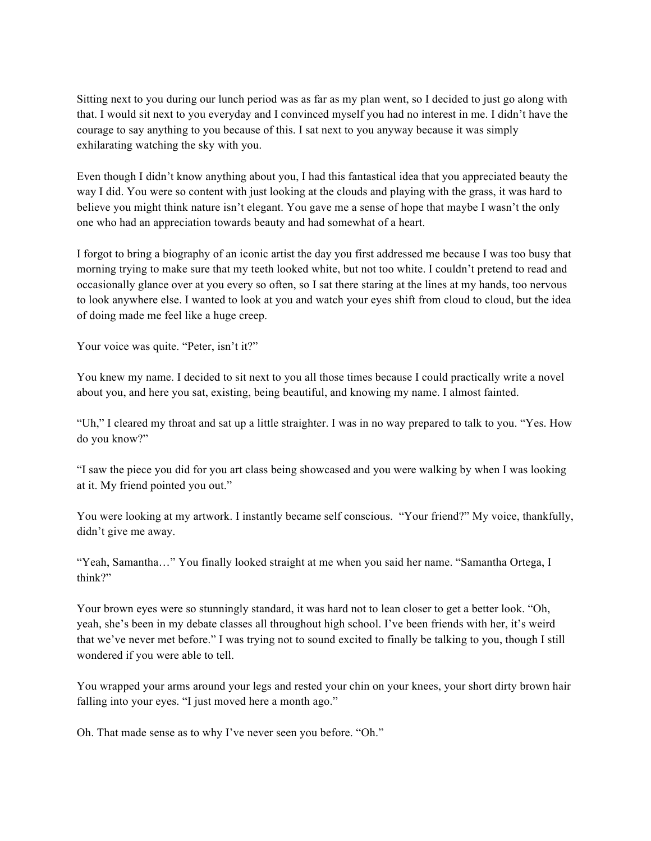Sitting next to you during our lunch period was as far as my plan went, so I decided to just go along with that. I would sit next to you everyday and I convinced myself you had no interest in me. I didn't have the courage to say anything to you because of this. I sat next to you anyway because it was simply exhilarating watching the sky with you.

Even though I didn't know anything about you, I had this fantastical idea that you appreciated beauty the way I did. You were so content with just looking at the clouds and playing with the grass, it was hard to believe you might think nature isn't elegant. You gave me a sense of hope that maybe I wasn't the only one who had an appreciation towards beauty and had somewhat of a heart.

I forgot to bring a biography of an iconic artist the day you first addressed me because I was too busy that morning trying to make sure that my teeth looked white, but not too white. I couldn't pretend to read and occasionally glance over at you every so often, so I sat there staring at the lines at my hands, too nervous to look anywhere else. I wanted to look at you and watch your eyes shift from cloud to cloud, but the idea of doing made me feel like a huge creep.

Your voice was quite. "Peter, isn't it?"

You knew my name. I decided to sit next to you all those times because I could practically write a novel about you, and here you sat, existing, being beautiful, and knowing my name. I almost fainted.

"Uh," I cleared my throat and sat up a little straighter. I was in no way prepared to talk to you. "Yes. How do you know?"

"I saw the piece you did for you art class being showcased and you were walking by when I was looking at it. My friend pointed you out."

You were looking at my artwork. I instantly became self conscious. "Your friend?" My voice, thankfully, didn't give me away.

"Yeah, Samantha…" You finally looked straight at me when you said her name. "Samantha Ortega, I think?"

Your brown eyes were so stunningly standard, it was hard not to lean closer to get a better look. "Oh, yeah, she's been in my debate classes all throughout high school. I've been friends with her, it's weird that we've never met before." I was trying not to sound excited to finally be talking to you, though I still wondered if you were able to tell.

You wrapped your arms around your legs and rested your chin on your knees, your short dirty brown hair falling into your eyes. "I just moved here a month ago."

Oh. That made sense as to why I've never seen you before. "Oh."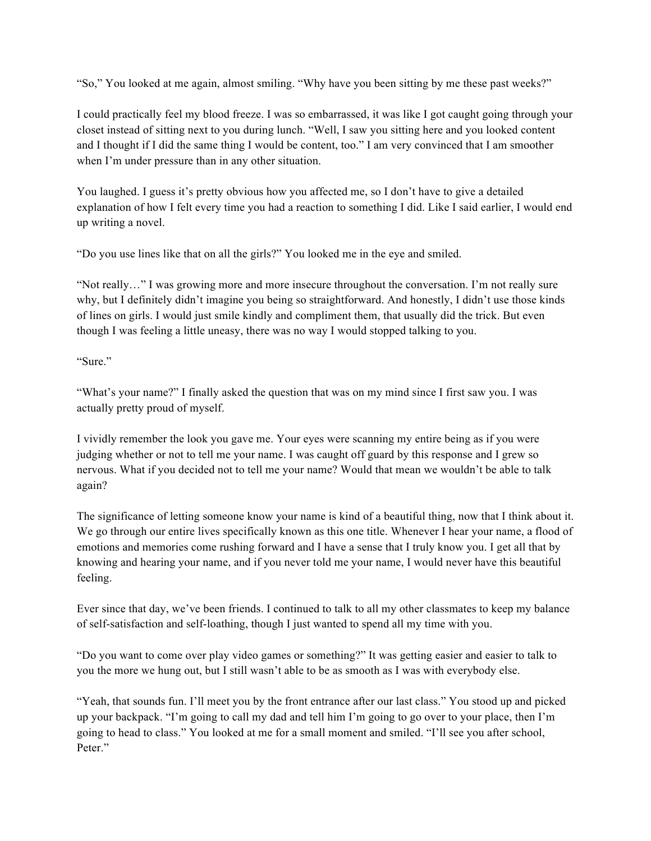"So," You looked at me again, almost smiling. "Why have you been sitting by me these past weeks?"

I could practically feel my blood freeze. I was so embarrassed, it was like I got caught going through your closet instead of sitting next to you during lunch. "Well, I saw you sitting here and you looked content and I thought if I did the same thing I would be content, too." I am very convinced that I am smoother when I'm under pressure than in any other situation.

You laughed. I guess it's pretty obvious how you affected me, so I don't have to give a detailed explanation of how I felt every time you had a reaction to something I did. Like I said earlier, I would end up writing a novel.

"Do you use lines like that on all the girls?" You looked me in the eye and smiled.

"Not really…" I was growing more and more insecure throughout the conversation. I'm not really sure why, but I definitely didn't imagine you being so straightforward. And honestly, I didn't use those kinds of lines on girls. I would just smile kindly and compliment them, that usually did the trick. But even though I was feeling a little uneasy, there was no way I would stopped talking to you.

"Sure."

"What's your name?" I finally asked the question that was on my mind since I first saw you. I was actually pretty proud of myself.

I vividly remember the look you gave me. Your eyes were scanning my entire being as if you were judging whether or not to tell me your name. I was caught off guard by this response and I grew so nervous. What if you decided not to tell me your name? Would that mean we wouldn't be able to talk again?

The significance of letting someone know your name is kind of a beautiful thing, now that I think about it. We go through our entire lives specifically known as this one title. Whenever I hear your name, a flood of emotions and memories come rushing forward and I have a sense that I truly know you. I get all that by knowing and hearing your name, and if you never told me your name, I would never have this beautiful feeling.

Ever since that day, we've been friends. I continued to talk to all my other classmates to keep my balance of self-satisfaction and self-loathing, though I just wanted to spend all my time with you.

"Do you want to come over play video games or something?" It was getting easier and easier to talk to you the more we hung out, but I still wasn't able to be as smooth as I was with everybody else.

"Yeah, that sounds fun. I'll meet you by the front entrance after our last class." You stood up and picked up your backpack. "I'm going to call my dad and tell him I'm going to go over to your place, then I'm going to head to class." You looked at me for a small moment and smiled. "I'll see you after school, Peter."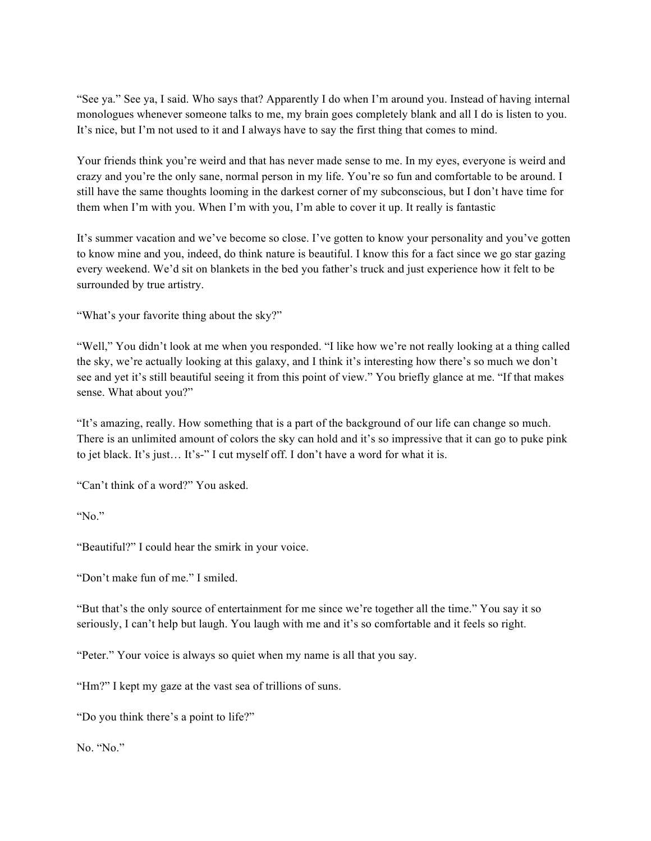"See ya." See ya, I said. Who says that? Apparently I do when I'm around you. Instead of having internal monologues whenever someone talks to me, my brain goes completely blank and all I do is listen to you. It's nice, but I'm not used to it and I always have to say the first thing that comes to mind.

Your friends think you're weird and that has never made sense to me. In my eyes, everyone is weird and crazy and you're the only sane, normal person in my life. You're so fun and comfortable to be around. I still have the same thoughts looming in the darkest corner of my subconscious, but I don't have time for them when I'm with you. When I'm with you, I'm able to cover it up. It really is fantastic

It's summer vacation and we've become so close. I've gotten to know your personality and you've gotten to know mine and you, indeed, do think nature is beautiful. I know this for a fact since we go star gazing every weekend. We'd sit on blankets in the bed you father's truck and just experience how it felt to be surrounded by true artistry.

"What's your favorite thing about the sky?"

"Well," You didn't look at me when you responded. "I like how we're not really looking at a thing called the sky, we're actually looking at this galaxy, and I think it's interesting how there's so much we don't see and yet it's still beautiful seeing it from this point of view." You briefly glance at me. "If that makes sense. What about you?"

"It's amazing, really. How something that is a part of the background of our life can change so much. There is an unlimited amount of colors the sky can hold and it's so impressive that it can go to puke pink to jet black. It's just… It's-" I cut myself off. I don't have a word for what it is.

"Can't think of a word?" You asked.

" $No$ "

"Beautiful?" I could hear the smirk in your voice.

"Don't make fun of me." I smiled.

"But that's the only source of entertainment for me since we're together all the time." You say it so seriously, I can't help but laugh. You laugh with me and it's so comfortable and it feels so right.

"Peter." Your voice is always so quiet when my name is all that you say.

"Hm?" I kept my gaze at the vast sea of trillions of suns.

"Do you think there's a point to life?"

No. "No."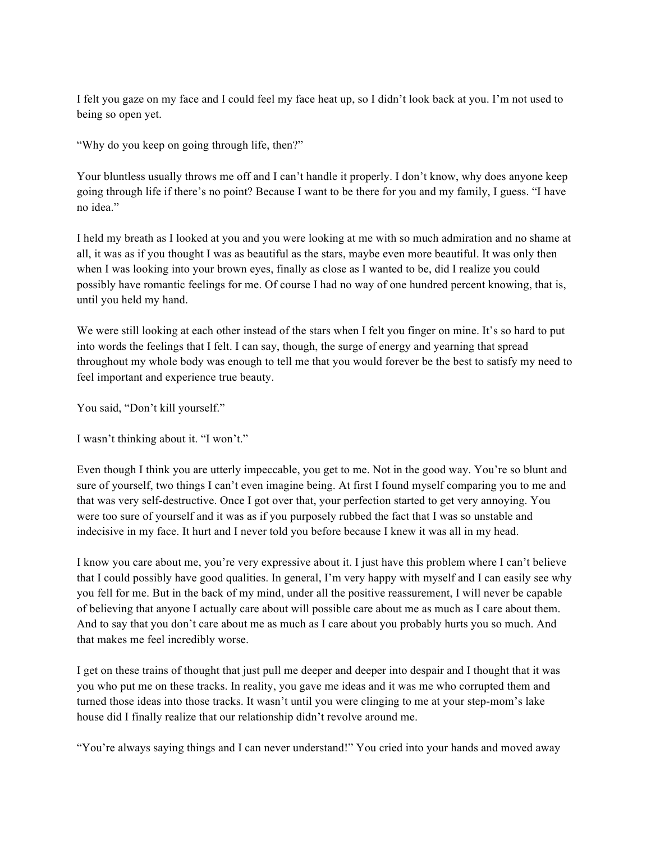I felt you gaze on my face and I could feel my face heat up, so I didn't look back at you. I'm not used to being so open yet.

"Why do you keep on going through life, then?"

Your bluntless usually throws me off and I can't handle it properly. I don't know, why does anyone keep going through life if there's no point? Because I want to be there for you and my family, I guess. "I have no idea."

I held my breath as I looked at you and you were looking at me with so much admiration and no shame at all, it was as if you thought I was as beautiful as the stars, maybe even more beautiful. It was only then when I was looking into your brown eyes, finally as close as I wanted to be, did I realize you could possibly have romantic feelings for me. Of course I had no way of one hundred percent knowing, that is, until you held my hand.

We were still looking at each other instead of the stars when I felt you finger on mine. It's so hard to put into words the feelings that I felt. I can say, though, the surge of energy and yearning that spread throughout my whole body was enough to tell me that you would forever be the best to satisfy my need to feel important and experience true beauty.

You said, "Don't kill yourself."

I wasn't thinking about it. "I won't."

Even though I think you are utterly impeccable, you get to me. Not in the good way. You're so blunt and sure of yourself, two things I can't even imagine being. At first I found myself comparing you to me and that was very self-destructive. Once I got over that, your perfection started to get very annoying. You were too sure of yourself and it was as if you purposely rubbed the fact that I was so unstable and indecisive in my face. It hurt and I never told you before because I knew it was all in my head.

I know you care about me, you're very expressive about it. I just have this problem where I can't believe that I could possibly have good qualities. In general, I'm very happy with myself and I can easily see why you fell for me. But in the back of my mind, under all the positive reassurement, I will never be capable of believing that anyone I actually care about will possible care about me as much as I care about them. And to say that you don't care about me as much as I care about you probably hurts you so much. And that makes me feel incredibly worse.

I get on these trains of thought that just pull me deeper and deeper into despair and I thought that it was you who put me on these tracks. In reality, you gave me ideas and it was me who corrupted them and turned those ideas into those tracks. It wasn't until you were clinging to me at your step-mom's lake house did I finally realize that our relationship didn't revolve around me.

"You're always saying things and I can never understand!" You cried into your hands and moved away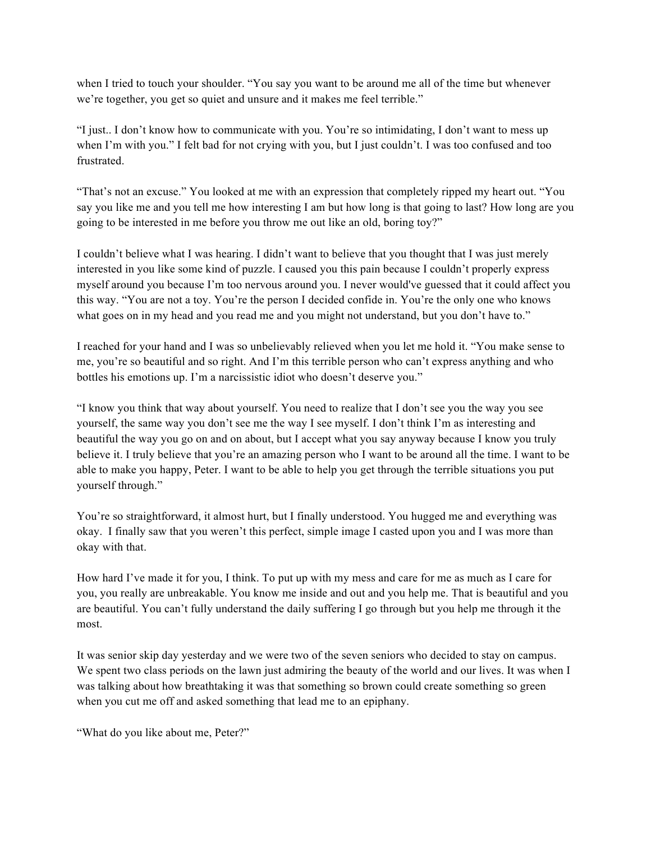when I tried to touch your shoulder. "You say you want to be around me all of the time but whenever we're together, you get so quiet and unsure and it makes me feel terrible."

"I just.. I don't know how to communicate with you. You're so intimidating, I don't want to mess up when I'm with you." I felt bad for not crying with you, but I just couldn't. I was too confused and too frustrated.

"That's not an excuse." You looked at me with an expression that completely ripped my heart out. "You say you like me and you tell me how interesting I am but how long is that going to last? How long are you going to be interested in me before you throw me out like an old, boring toy?"

I couldn't believe what I was hearing. I didn't want to believe that you thought that I was just merely interested in you like some kind of puzzle. I caused you this pain because I couldn't properly express myself around you because I'm too nervous around you. I never would've guessed that it could affect you this way. "You are not a toy. You're the person I decided confide in. You're the only one who knows what goes on in my head and you read me and you might not understand, but you don't have to."

I reached for your hand and I was so unbelievably relieved when you let me hold it. "You make sense to me, you're so beautiful and so right. And I'm this terrible person who can't express anything and who bottles his emotions up. I'm a narcissistic idiot who doesn't deserve you."

"I know you think that way about yourself. You need to realize that I don't see you the way you see yourself, the same way you don't see me the way I see myself. I don't think I'm as interesting and beautiful the way you go on and on about, but I accept what you say anyway because I know you truly believe it. I truly believe that you're an amazing person who I want to be around all the time. I want to be able to make you happy, Peter. I want to be able to help you get through the terrible situations you put yourself through."

You're so straightforward, it almost hurt, but I finally understood. You hugged me and everything was okay. I finally saw that you weren't this perfect, simple image I casted upon you and I was more than okay with that.

How hard I've made it for you, I think. To put up with my mess and care for me as much as I care for you, you really are unbreakable. You know me inside and out and you help me. That is beautiful and you are beautiful. You can't fully understand the daily suffering I go through but you help me through it the most.

It was senior skip day yesterday and we were two of the seven seniors who decided to stay on campus. We spent two class periods on the lawn just admiring the beauty of the world and our lives. It was when I was talking about how breathtaking it was that something so brown could create something so green when you cut me off and asked something that lead me to an epiphany.

"What do you like about me, Peter?"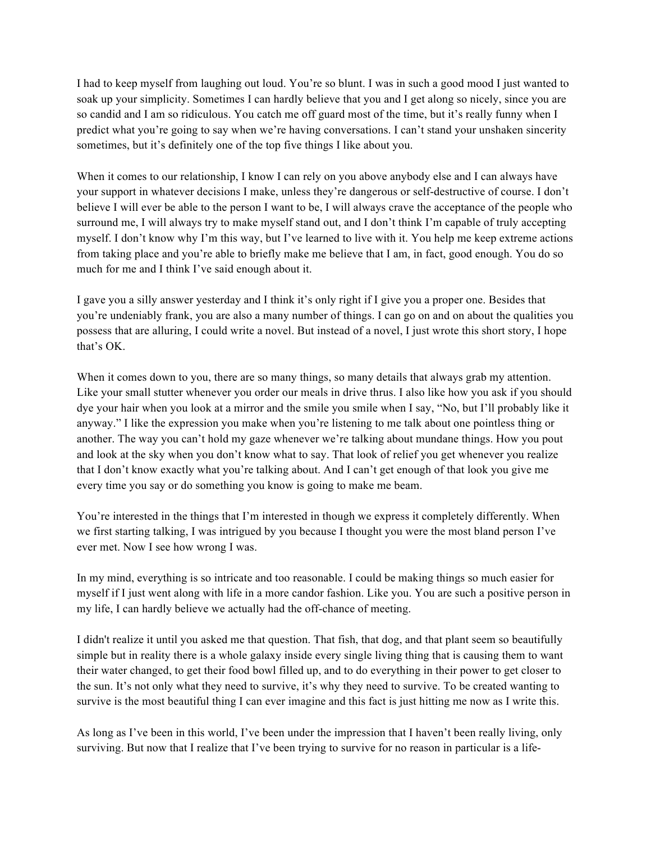I had to keep myself from laughing out loud. You're so blunt. I was in such a good mood I just wanted to soak up your simplicity. Sometimes I can hardly believe that you and I get along so nicely, since you are so candid and I am so ridiculous. You catch me off guard most of the time, but it's really funny when I predict what you're going to say when we're having conversations. I can't stand your unshaken sincerity sometimes, but it's definitely one of the top five things I like about you.

When it comes to our relationship, I know I can rely on you above any body else and I can always have your support in whatever decisions I make, unless they're dangerous or self-destructive of course. I don't believe I will ever be able to the person I want to be, I will always crave the acceptance of the people who surround me, I will always try to make myself stand out, and I don't think I'm capable of truly accepting myself. I don't know why I'm this way, but I've learned to live with it. You help me keep extreme actions from taking place and you're able to briefly make me believe that I am, in fact, good enough. You do so much for me and I think I've said enough about it.

I gave you a silly answer yesterday and I think it's only right if I give you a proper one. Besides that you're undeniably frank, you are also a many number of things. I can go on and on about the qualities you possess that are alluring, I could write a novel. But instead of a novel, I just wrote this short story, I hope that's OK.

When it comes down to you, there are so many things, so many details that always grab my attention. Like your small stutter whenever you order our meals in drive thrus. I also like how you ask if you should dye your hair when you look at a mirror and the smile you smile when I say, "No, but I'll probably like it anyway." I like the expression you make when you're listening to me talk about one pointless thing or another. The way you can't hold my gaze whenever we're talking about mundane things. How you pout and look at the sky when you don't know what to say. That look of relief you get whenever you realize that I don't know exactly what you're talking about. And I can't get enough of that look you give me every time you say or do something you know is going to make me beam.

You're interested in the things that I'm interested in though we express it completely differently. When we first starting talking, I was intrigued by you because I thought you were the most bland person I've ever met. Now I see how wrong I was.

In my mind, everything is so intricate and too reasonable. I could be making things so much easier for myself if I just went along with life in a more candor fashion. Like you. You are such a positive person in my life, I can hardly believe we actually had the off-chance of meeting.

I didn't realize it until you asked me that question. That fish, that dog, and that plant seem so beautifully simple but in reality there is a whole galaxy inside every single living thing that is causing them to want their water changed, to get their food bowl filled up, and to do everything in their power to get closer to the sun. It's not only what they need to survive, it's why they need to survive. To be created wanting to survive is the most beautiful thing I can ever imagine and this fact is just hitting me now as I write this.

As long as I've been in this world, I've been under the impression that I haven't been really living, only surviving. But now that I realize that I've been trying to survive for no reason in particular is a life